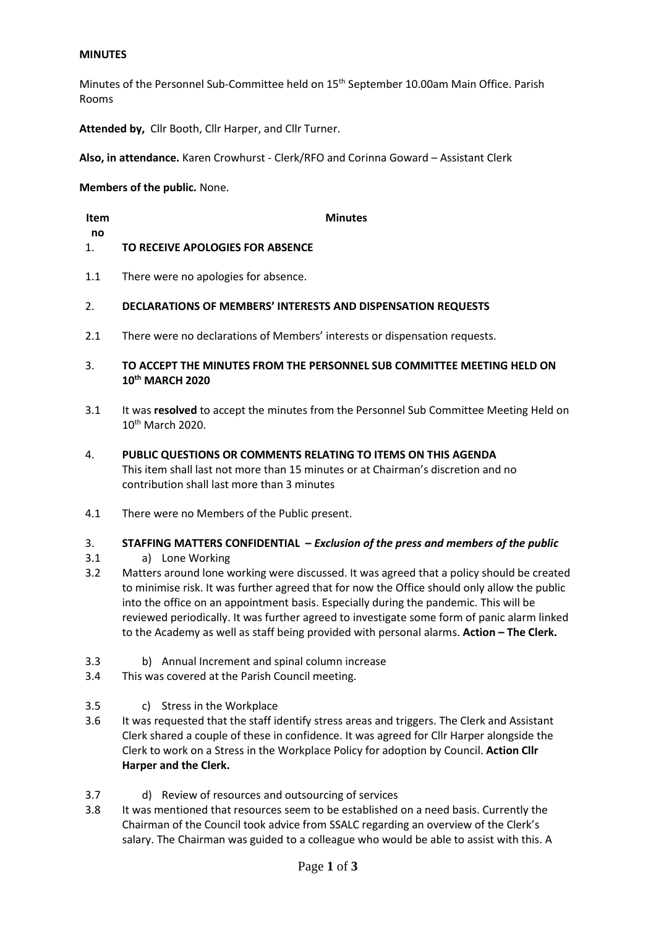# **MINUTES**

Minutes of the Personnel Sub-Committee held on 15th September 10.00am Main Office. Parish Rooms

**Attended by,** Cllr Booth, Cllr Harper, and Cllr Turner.

**Also, in attendance.** Karen Crowhurst - Clerk/RFO and Corinna Goward – Assistant Clerk

**Members of the public.** None.

**Item no**

**Minutes**

- 1. **TO RECEIVE APOLOGIES FOR ABSENCE**
- 1.1 There were no apologies for absence.

#### 2. **DECLARATIONS OF MEMBERS' INTERESTS AND DISPENSATION REQUESTS**

- 2.1 There were no declarations of Members' interests or dispensation requests.
- 3. **TO ACCEPT THE MINUTES FROM THE PERSONNEL SUB COMMITTEE MEETING HELD ON 10th MARCH 2020**
- 3.1 It was **resolved** to accept the minutes from the Personnel Sub Committee Meeting Held on 10th March 2020.
- 4. **PUBLIC QUESTIONS OR COMMENTS RELATING TO ITEMS ON THIS AGENDA** This item shall last not more than 15 minutes or at Chairman's discretion and no contribution shall last more than 3 minutes
- 4.1 There were no Members of the Public present.

#### 3. **STAFFING MATTERS CONFIDENTIAL –** *Exclusion of the press and members of the public*

- 3.1 a) Lone Working
- 3.2 Matters around lone working were discussed. It was agreed that a policy should be created to minimise risk. It was further agreed that for now the Office should only allow the public into the office on an appointment basis. Especially during the pandemic. This will be reviewed periodically. It was further agreed to investigate some form of panic alarm linked to the Academy as well as staff being provided with personal alarms. **Action – The Clerk.**
- 3.3 b) Annual Increment and spinal column increase
- 3.4 This was covered at the Parish Council meeting.
- 3.5 c) Stress in the Workplace
- 3.6 It was requested that the staff identify stress areas and triggers. The Clerk and Assistant Clerk shared a couple of these in confidence. It was agreed for Cllr Harper alongside the Clerk to work on a Stress in the Workplace Policy for adoption by Council. **Action Cllr Harper and the Clerk.**
- 3.7 d) Review of resources and outsourcing of services
- 3.8 It was mentioned that resources seem to be established on a need basis. Currently the Chairman of the Council took advice from SSALC regarding an overview of the Clerk's salary. The Chairman was guided to a colleague who would be able to assist with this. A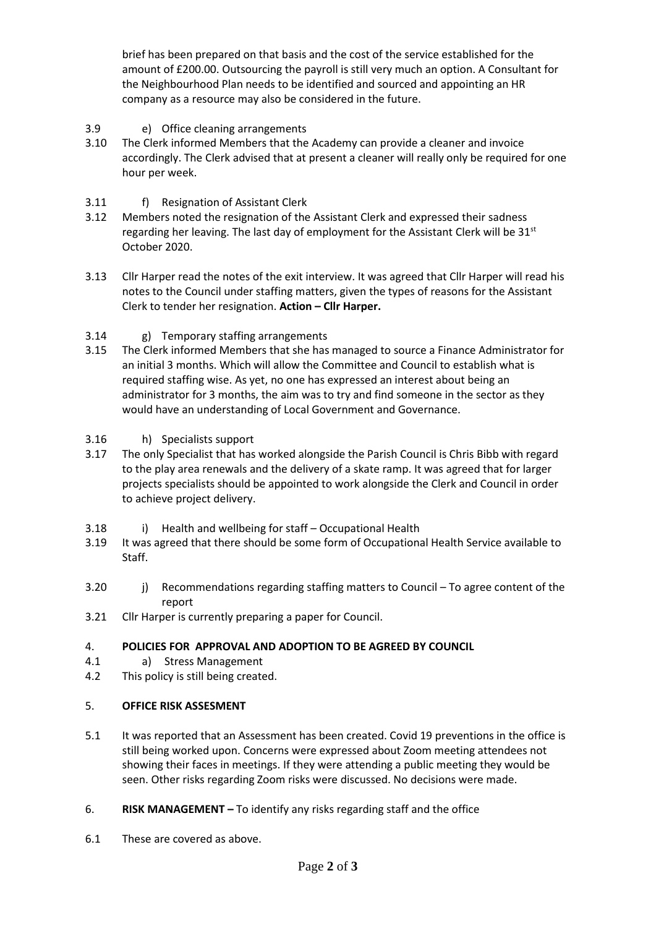brief has been prepared on that basis and the cost of the service established for the amount of £200.00. Outsourcing the payroll is still very much an option. A Consultant for the Neighbourhood Plan needs to be identified and sourced and appointing an HR company as a resource may also be considered in the future.

- 3.9 e) Office cleaning arrangements
- 3.10 The Clerk informed Members that the Academy can provide a cleaner and invoice accordingly. The Clerk advised that at present a cleaner will really only be required for one hour per week.
- 3.11 f) Resignation of Assistant Clerk
- 3.12 Members noted the resignation of the Assistant Clerk and expressed their sadness regarding her leaving. The last day of employment for the Assistant Clerk will be  $31^{st}$ October 2020.
- 3.13 Cllr Harper read the notes of the exit interview. It was agreed that Cllr Harper will read his notes to the Council under staffing matters, given the types of reasons for the Assistant Clerk to tender her resignation. **Action – Cllr Harper.**
- 3.14 g) Temporary staffing arrangements
- 3.15 The Clerk informed Members that she has managed to source a Finance Administrator for an initial 3 months. Which will allow the Committee and Council to establish what is required staffing wise. As yet, no one has expressed an interest about being an administrator for 3 months, the aim was to try and find someone in the sector as they would have an understanding of Local Government and Governance.
- 3.16 h) Specialists support
- 3.17 The only Specialist that has worked alongside the Parish Council is Chris Bibb with regard to the play area renewals and the delivery of a skate ramp. It was agreed that for larger projects specialists should be appointed to work alongside the Clerk and Council in order to achieve project delivery.
- 3.18 i) Health and wellbeing for staff – Occupational Health
- 3.19 It was agreed that there should be some form of Occupational Health Service available to Staff.
- 3.20 j) Recommendations regarding staffing matters to Council – To agree content of the report
- 3.21 Cllr Harper is currently preparing a paper for Council.

## 4. **POLICIES FOR APPROVAL AND ADOPTION TO BE AGREED BY COUNCIL**

- 4.1 a) Stress Management
- 4.2 This policy is still being created.

## 5. **OFFICE RISK ASSESMENT**

- 5.1 It was reported that an Assessment has been created. Covid 19 preventions in the office is still being worked upon. Concerns were expressed about Zoom meeting attendees not showing their faces in meetings. If they were attending a public meeting they would be seen. Other risks regarding Zoom risks were discussed. No decisions were made.
- 6. **RISK MANAGEMENT –** To identify any risks regarding staff and the office
- 6.1 These are covered as above.